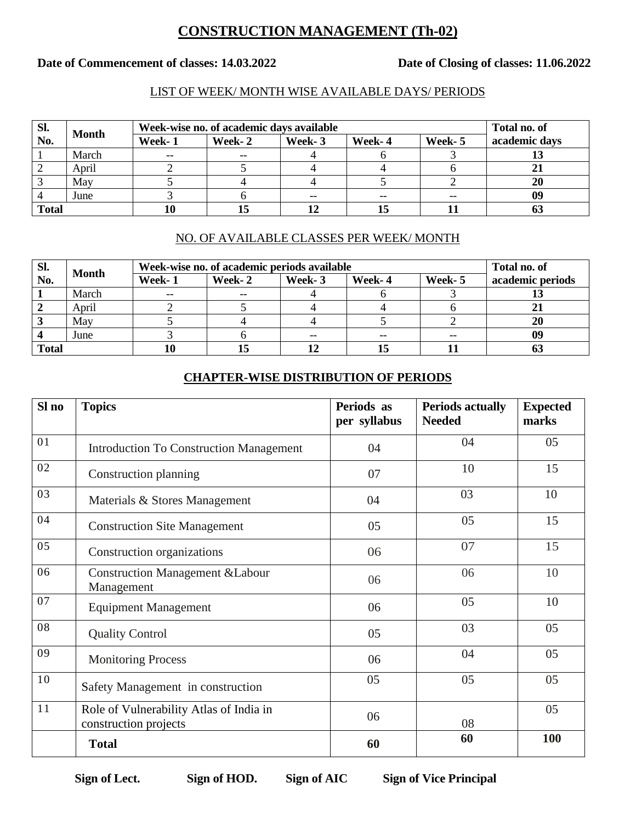# **CONSTRUCTION MANAGEMENT (Th-02)**

#### Date of Commencement of classes: 14.03.2022 Date of Closing of classes: 11.06.2022

#### LIST OF WEEK/ MONTH WISE AVAILABLE DAYS/ PERIODS

| SI.          | <b>Month</b> | Week-wise no. of academic days available | Total no. of |        |        |        |               |
|--------------|--------------|------------------------------------------|--------------|--------|--------|--------|---------------|
| No.          |              | Week- 1                                  | Week-2       | Week-3 | Week-4 | Week-5 | academic days |
|              | March        | $- -$                                    | --           |        |        |        |               |
|              | April        |                                          |              |        |        |        |               |
|              | May          |                                          |              |        |        |        | 20            |
|              | June         |                                          |              |        |        | $- -$  | 09            |
| <b>Total</b> |              | 10                                       | 15           |        |        |        |               |

## NO. OF AVAILABLE CLASSES PER WEEK/ MONTH

| SI.          | <b>Month</b> | Week-wise no. of academic periods available | Total no. of |        |        |         |                  |
|--------------|--------------|---------------------------------------------|--------------|--------|--------|---------|------------------|
| No.          |              | Week-1                                      | Week- 2      | Week-3 | Week-4 | Week- 5 | academic periods |
|              | March        | $- -$                                       | $- -$        |        |        |         |                  |
|              | April        |                                             |              |        |        |         | ◢                |
|              | May          |                                             |              |        |        |         | 20               |
|              | June         |                                             |              |        |        |         | 09               |
| <b>Total</b> |              | 10                                          | 15           |        |        |         | w                |

### **CHAPTER-WISE DISTRIBUTION OF PERIODS**

| Sl no | <b>Topics</b>                                                    | Periods as<br>per syllabus | <b>Periods actually</b><br><b>Needed</b> | <b>Expected</b><br>marks |
|-------|------------------------------------------------------------------|----------------------------|------------------------------------------|--------------------------|
| 01    | <b>Introduction To Construction Management</b>                   | 04                         | 04                                       | 05                       |
| 02    | Construction planning                                            | 07                         | 10                                       | 15                       |
| 03    | Materials & Stores Management                                    | 04                         | 03                                       | 10                       |
| 04    | <b>Construction Site Management</b>                              | 05                         | 05                                       | 15                       |
| 05    | Construction organizations                                       | 06                         | 07                                       | 15                       |
| 06    | <b>Construction Management &amp;Labour</b><br>Management         | 06                         | 06                                       | 10                       |
| 07    | <b>Equipment Management</b>                                      | 06                         | 05                                       | 10                       |
| 08    | <b>Quality Control</b>                                           | 05                         | 03                                       | 05                       |
| 09    | <b>Monitoring Process</b>                                        | 06                         | 04                                       | 05                       |
| 10    | Safety Management in construction                                | 05                         | 05                                       | 05                       |
| 11    | Role of Vulnerability Atlas of India in<br>construction projects | 06                         | 08                                       | 05                       |
|       | <b>Total</b>                                                     | 60                         | 60                                       | 100                      |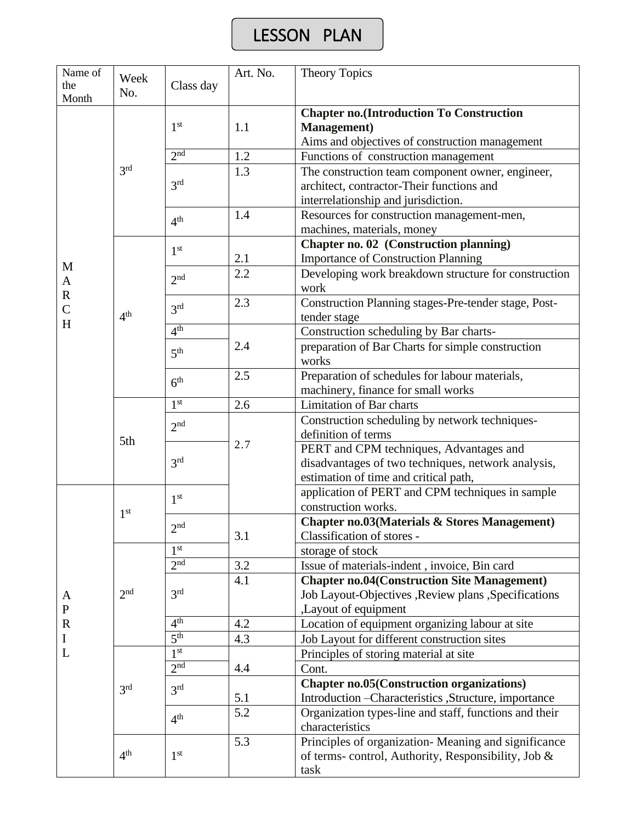# LESSON PLAN

| Name of<br>the<br>Month            | Week<br>No.     | Class day           | Art. No.                                                                                                                         | <b>Theory Topics</b>                                                                                                                 |  |  |
|------------------------------------|-----------------|---------------------|----------------------------------------------------------------------------------------------------------------------------------|--------------------------------------------------------------------------------------------------------------------------------------|--|--|
|                                    | 3 <sup>rd</sup> | 1 <sup>st</sup>     | <b>Chapter no.</b> (Introduction To Construction<br><b>Management</b> )<br>1.1<br>Aims and objectives of construction management |                                                                                                                                      |  |  |
|                                    |                 | 2 <sup>nd</sup>     | 1.2                                                                                                                              | Functions of construction management                                                                                                 |  |  |
|                                    |                 | 3 <sup>rd</sup>     | 1.3                                                                                                                              | The construction team component owner, engineer,<br>architect, contractor-Their functions and<br>interrelationship and jurisdiction. |  |  |
|                                    |                 | 4 <sup>th</sup>     | 1.4                                                                                                                              | Resources for construction management-men,<br>machines, materials, money                                                             |  |  |
|                                    |                 | 1 <sup>st</sup>     | 2.1                                                                                                                              | Chapter no. 02 (Construction planning)<br><b>Importance of Construction Planning</b>                                                 |  |  |
| M<br>$\mathbf{A}$                  | 4 <sup>th</sup> | 2 <sub>nd</sub>     | 2.2                                                                                                                              | Developing work breakdown structure for construction<br>work                                                                         |  |  |
| $\mathbf R$<br>$\overline{C}$<br>H |                 | 3 <sup>rd</sup>     | 2.3                                                                                                                              | Construction Planning stages-Pre-tender stage, Post-<br>tender stage                                                                 |  |  |
|                                    |                 | 4 <sup>th</sup>     |                                                                                                                                  | Construction scheduling by Bar charts-                                                                                               |  |  |
|                                    |                 | 5 <sup>th</sup>     | 2.4                                                                                                                              | preparation of Bar Charts for simple construction<br>works                                                                           |  |  |
|                                    |                 | 6 <sup>th</sup>     | 2.5                                                                                                                              | Preparation of schedules for labour materials,<br>machinery, finance for small works                                                 |  |  |
|                                    |                 | 1 <sup>st</sup>     | 2.6                                                                                                                              | <b>Limitation of Bar charts</b>                                                                                                      |  |  |
|                                    |                 | 2 <sub>nd</sub>     |                                                                                                                                  | Construction scheduling by network techniques-                                                                                       |  |  |
|                                    | 5th             |                     | 2.7                                                                                                                              | definition of terms                                                                                                                  |  |  |
|                                    |                 | 3 <sup>rd</sup>     |                                                                                                                                  | PERT and CPM techniques, Advantages and                                                                                              |  |  |
|                                    |                 |                     |                                                                                                                                  | disadvantages of two techniques, network analysis,<br>estimation of time and critical path,                                          |  |  |
|                                    | 1 <sup>st</sup> | 1 <sup>st</sup>     |                                                                                                                                  | application of PERT and CPM techniques in sample<br>construction works.                                                              |  |  |
|                                    |                 | 2 <sup>nd</sup>     | 3.1                                                                                                                              | <b>Chapter no.03(Materials &amp; Stores Management)</b><br>Classification of stores -                                                |  |  |
|                                    |                 | 1 <sup>st</sup>     |                                                                                                                                  | storage of stock                                                                                                                     |  |  |
|                                    |                 | 2 <sup>nd</sup>     | 3.2                                                                                                                              | Issue of materials-indent, invoice, Bin card                                                                                         |  |  |
| A<br>${\bf P}$                     | 2 <sub>nd</sub> | 3 <sup>rd</sup>     | 4.1                                                                                                                              | <b>Chapter no.04(Construction Site Management)</b><br>Job Layout-Objectives , Review plans , Specifications<br>,Layout of equipment  |  |  |
| $\mathbf R$                        |                 | 4 <sup>th</sup>     | 4.2                                                                                                                              | Location of equipment organizing labour at site                                                                                      |  |  |
| $\bf{I}$                           |                 | $\overline{5^{th}}$ | 4.3                                                                                                                              | Job Layout for different construction sites                                                                                          |  |  |
| L                                  |                 | 1 <sup>st</sup>     |                                                                                                                                  | Principles of storing material at site                                                                                               |  |  |
|                                    |                 | 2 <sup>nd</sup>     | 4.4                                                                                                                              | Cont.                                                                                                                                |  |  |
|                                    | 3 <sup>rd</sup> | 3 <sup>rd</sup>     | 5.1                                                                                                                              | <b>Chapter no.05(Construction organizations)</b><br>Introduction - Characteristics , Structure, importance                           |  |  |
|                                    |                 | 4 <sup>th</sup>     | 5.2                                                                                                                              | Organization types-line and staff, functions and their<br>characteristics                                                            |  |  |
|                                    | 4 <sup>th</sup> | 1 <sup>st</sup>     | 5.3                                                                                                                              | Principles of organization-Meaning and significance<br>of terms-control, Authority, Responsibility, Job &<br>task                    |  |  |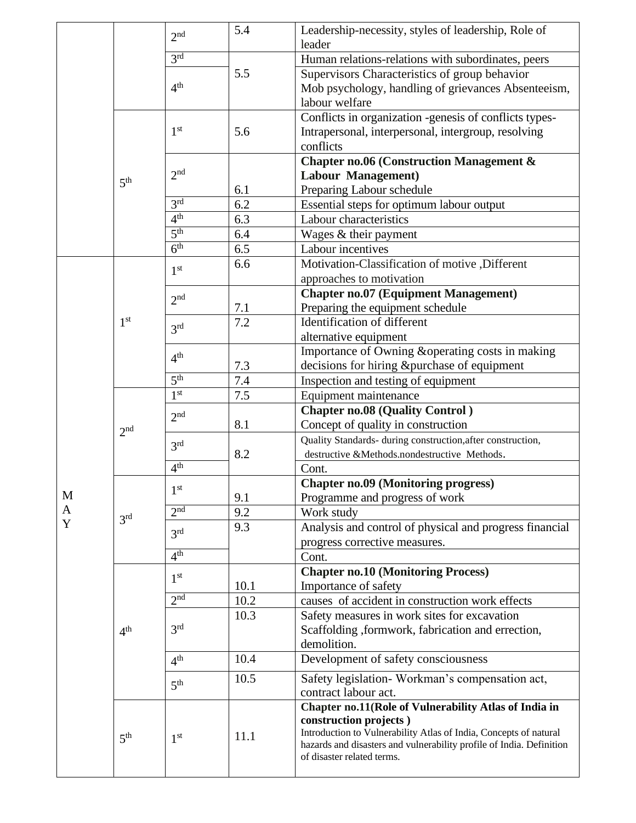|   |                 | 2 <sub>nd</sub> | 5.4  | Leadership-necessity, styles of leadership, Role of                                                |  |  |  |
|---|-----------------|-----------------|------|----------------------------------------------------------------------------------------------------|--|--|--|
|   |                 |                 |      | leader                                                                                             |  |  |  |
|   |                 | 3 <sup>rd</sup> |      | Human relations-relations with subordinates, peers                                                 |  |  |  |
|   |                 | 4 <sup>th</sup> | 5.5  | Supervisors Characteristics of group behavior                                                      |  |  |  |
|   |                 |                 |      | Mob psychology, handling of grievances Absenteeism,                                                |  |  |  |
|   |                 |                 |      | labour welfare                                                                                     |  |  |  |
|   | 5 <sup>th</sup> |                 |      | Conflicts in organization -genesis of conflicts types-                                             |  |  |  |
|   |                 | 1 <sup>st</sup> | 5.6  | Intrapersonal, interpersonal, intergroup, resolving                                                |  |  |  |
|   |                 |                 |      | conflicts                                                                                          |  |  |  |
|   |                 | 2 <sub>nd</sub> |      | <b>Chapter no.06 (Construction Management &amp;</b>                                                |  |  |  |
|   |                 |                 |      | Labour Management)                                                                                 |  |  |  |
|   |                 | 3 <sup>rd</sup> | 6.1  | Preparing Labour schedule                                                                          |  |  |  |
|   |                 |                 | 6.2  | Essential steps for optimum labour output                                                          |  |  |  |
|   |                 | 4 <sup>th</sup> | 6.3  | Labour characteristics                                                                             |  |  |  |
|   |                 | 5 <sup>th</sup> | 6.4  | Wages & their payment                                                                              |  |  |  |
|   |                 | 6 <sup>th</sup> | 6.5  | Labour incentives                                                                                  |  |  |  |
|   |                 | 1 <sup>st</sup> | 6.6  | Motivation-Classification of motive , Different                                                    |  |  |  |
|   |                 |                 |      | approaches to motivation                                                                           |  |  |  |
|   |                 | 2 <sub>nd</sub> |      | <b>Chapter no.07 (Equipment Management)</b>                                                        |  |  |  |
|   |                 |                 | 7.1  | Preparing the equipment schedule                                                                   |  |  |  |
|   | 1 <sup>st</sup> | 3 <sup>rd</sup> | 7.2  | Identification of different                                                                        |  |  |  |
|   |                 |                 |      | alternative equipment                                                                              |  |  |  |
|   |                 | 4 <sup>th</sup> |      | Importance of Owning & operating costs in making                                                   |  |  |  |
|   |                 |                 | 7.3  | decisions for hiring &purchase of equipment                                                        |  |  |  |
|   |                 | 5 <sup>th</sup> | 7.4  | Inspection and testing of equipment                                                                |  |  |  |
|   |                 | 1 <sup>st</sup> | 7.5  | Equipment maintenance                                                                              |  |  |  |
|   |                 | 2 <sub>nd</sub> |      |                                                                                                    |  |  |  |
|   |                 |                 |      | <b>Chapter no.08 (Quality Control)</b>                                                             |  |  |  |
|   | 2 <sup>nd</sup> |                 | 8.1  | Concept of quality in construction                                                                 |  |  |  |
|   |                 | 3 <sup>rd</sup> |      | Quality Standards- during construction, after construction,                                        |  |  |  |
|   |                 |                 | 8.2  | destructive &Methods.nondestructive Methods.                                                       |  |  |  |
|   |                 | 4 <sup>th</sup> |      | Cont.                                                                                              |  |  |  |
|   |                 | 1 <sup>st</sup> |      | <b>Chapter no.09 (Monitoring progress)</b>                                                         |  |  |  |
| M |                 |                 | 9.1  | Programme and progress of work                                                                     |  |  |  |
| A | 3 <sup>rd</sup> | 2 <sup>nd</sup> | 9.2  | Work study                                                                                         |  |  |  |
| Y |                 | 3 <sup>rd</sup> | 9.3  | Analysis and control of physical and progress financial                                            |  |  |  |
|   |                 |                 |      | progress corrective measures.                                                                      |  |  |  |
|   |                 | 4 <sup>th</sup> |      | Cont.                                                                                              |  |  |  |
|   |                 | 1 <sup>st</sup> |      | <b>Chapter no.10 (Monitoring Process)</b>                                                          |  |  |  |
|   |                 |                 | 10.1 | Importance of safety                                                                               |  |  |  |
|   |                 | 2 <sup>nd</sup> | 10.2 | causes of accident in construction work effects                                                    |  |  |  |
|   |                 |                 | 10.3 | Safety measures in work sites for excavation                                                       |  |  |  |
|   | 4 <sup>th</sup> | 3 <sup>rd</sup> |      | Scaffolding ,formwork, fabrication and errection,                                                  |  |  |  |
|   |                 |                 |      | demolition.                                                                                        |  |  |  |
|   |                 | 4 <sup>th</sup> | 10.4 | Development of safety consciousness                                                                |  |  |  |
|   |                 | 5 <sup>th</sup> | 10.5 | Safety legislation- Workman's compensation act,                                                    |  |  |  |
|   |                 |                 |      | contract labour act.                                                                               |  |  |  |
|   |                 |                 |      | Chapter no.11(Role of Vulnerability Atlas of India in                                              |  |  |  |
|   |                 |                 |      | construction projects)                                                                             |  |  |  |
|   | 5 <sup>th</sup> | 1 <sup>st</sup> | 11.1 | Introduction to Vulnerability Atlas of India, Concepts of natural                                  |  |  |  |
|   |                 |                 |      | hazards and disasters and vulnerability profile of India. Definition<br>of disaster related terms. |  |  |  |